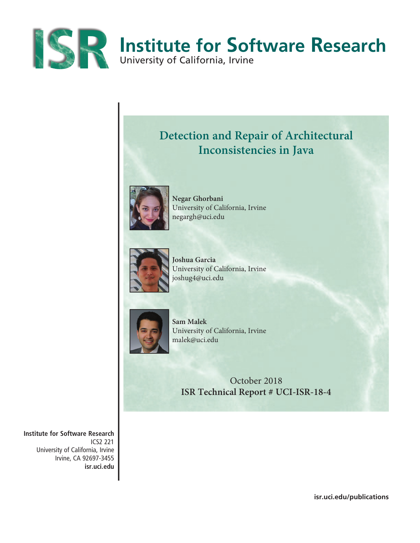

## **Detection and Repair of Architectural Inconsistencies in Java**



**Negar Ghorbani** University of California, Irvine negargh@uci.edu



**Joshua Garcia** University of California, Irvine joshug4@uci.edu



**Sam Malek** University of California, Irvine malek@uci.edu

October 2018 **ISR Technical Report # UCI-ISR-18-4**

**Institute for Software Research** ICS2 221 University of California, Irvine Irvine, CA 92697-3455 **isr.uci.edu**

**isr.uci.edu/publications**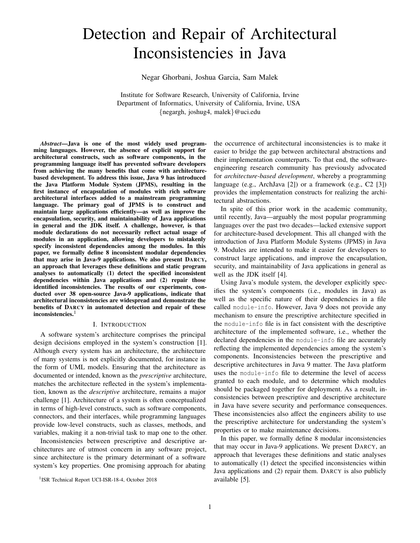# Detection and Repair of Architectural Inconsistencies in Java

Negar Ghorbani, Joshua Garcia, Sam Malek

Institute for Software Research, University of California, Irvine Department of Informatics, University of California, Irvine, USA {negargh, joshug4, malek}@uci.edu

*Abstract*—Java is one of the most widely used programming languages. However, the absence of explicit support for architectural constructs, such as software components, in the programming language itself has prevented software developers from achieving the many benefits that come with architecturebased development. To address this issue, Java 9 has introduced the Java Platform Module System (JPMS), resulting in the first instance of encapsulation of modules with rich software architectural interfaces added to a mainstream programming language. The primary goal of JPMS is to construct and maintain large applications efficiently—as well as improve the encapsulation, security, and maintainability of Java applications in general and the JDK itself. A challenge, however, is that module declarations do not necessarily reflect actual usage of modules in an application, allowing developers to mistakenly specify inconsistent dependencies among the modules. In this paper, we formally define 8 inconsistent modular dependencies that may arise in Java-9 applications. We also present DARCY, an approach that leverages these definitions and static program analyses to automatically (1) detect the specified inconsistent dependencies within Java applications and (2) repair those identified inconsistencies. The results of our experiments, conducted over 38 open-source Java-9 applications, indicate that architectural inconsistencies are widespread and demonstrate the benefits of DARCY in automated detection and repair of these inconsistencies.<sup>1</sup>

## I. INTRODUCTION

A software system's architecture comprises the principal design decisions employed in the system's construction [1]. Although every system has an architecture, the architecture of many systems is not explicitly documented, for instance in the form of UML models. Ensuring that the architecture as documented or intended, known as the *prescriptive* architecture, matches the architecture reflected in the system's implementation, known as the *descriptive* architecture, remains a major challenge [1]. Architecture of a system is often conceptualized in terms of high-level constructs, such as software components, connectors, and their interfaces, while programming languages provide low-level constructs, such as classes, methods, and variables, making it a non-trivial task to map one to the other.

Inconsistencies between prescriptive and descriptive architectures are of utmost concern in any software project, since architecture is the primary determinant of a software system's key properties. One promising approach for abating

the occurrence of architectural inconsistencies is to make it easier to bridge the gap between architectural abstractions and their implementation counterparts. To that end, the softwareengineering research community has previously advocated for *architecture-based development*, whereby a programming language (e.g., ArchJava [2]) or a framework (e.g., C2 [3]) provides the implementation constructs for realizing the architectural abstractions.

In spite of this prior work in the academic community, until recently, Java—arguably the most popular programming languages over the past two decades—lacked extensive support for architecture-based development. This all changed with the introduction of Java Platform Module Systems (JPMS) in Java 9. Modules are intended to make it easier for developers to construct large applications, and improve the encapsulation, security, and maintainability of Java applications in general as well as the JDK itself [4].

Using Java's module system, the developer explicitly specifies the system's components (i.e., modules in Java) as well as the specific nature of their dependencies in a file called module-info. However, Java 9 does not provide any mechanism to ensure the prescriptive architecture specified in the module-info file is in fact consistent with the descriptive architecture of the implemented software, i.e., whether the declared dependencies in the module-info file are accurately reflecting the implemented dependencies among the system's components. Inconsistencies between the prescriptive and descriptive architectures in Java 9 matter. The Java platform uses the module-info file to determine the level of access granted to each module, and to determine which modules should be packaged together for deployment. As a result, inconsistencies between prescriptive and descriptive architecture in Java have severe security and performance consequences. These inconsistencies also affect the engineers ability to use the prescriptive architecture for understanding the system's properties or to make maintenance decisions.

In this paper, we formally define 8 modular inconsistencies that may occur in Java-9 applications. We present DARCY, an approach that leverages these definitions and static analyses to automatically (1) detect the specified inconsistencies within Java applications and (2) repair them. DARCY is also publicly available [5].

<sup>&</sup>lt;sup>1</sup>ISR Technical Report UCI-ISR-18-4, October 2018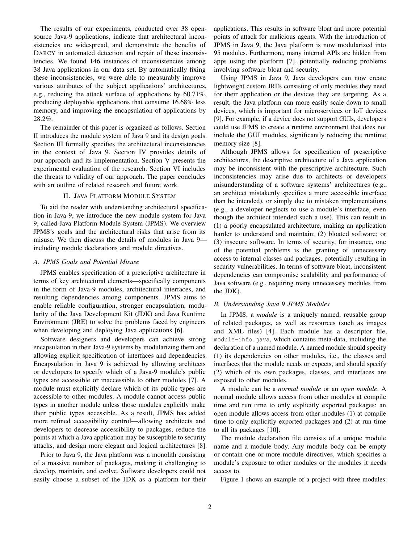The results of our experiments, conducted over 38 opensource Java-9 applications, indicate that architectural inconsistencies are widespread, and demonstrate the benefits of DARCY in automated detection and repair of these inconsistencies. We found 146 instances of inconsistencies among 38 Java applications in our data set. By automatically fixing these inconsistencies, we were able to measurably improve various attributes of the subject applications' architectures, e.g., reducing the attack surface of applications by 60.71%, producing deployable applications that consume 16.68% less memory, and improving the encapsulation of applications by 28.2%.

The remainder of this paper is organized as follows. Section II introduces the module system of Java 9 and its design goals. Section III formally specifies the architectural inconsistencies in the context of Java 9. Section IV provides details of our approach and its implementation. Section V presents the experimental evaluation of the research. Section VI includes the threats to validity of our approach. The paper concludes with an outline of related research and future work.

## II. JAVA PLATFORM MODULE SYSTEM

To aid the reader with understanding architectural specification in Java 9, we introduce the new module system for Java 9, called Java Platform Module System (JPMS). We overview JPMS's goals and the architectural risks that arise from its misuse. We then discuss the details of modules in Java 9 including module declarations and module directives.

#### *A. JPMS Goals and Potential Misuse*

JPMS enables specification of a prescriptive architecture in terms of key architectural elements—specifically components in the form of Java-9 modules, architectural interfaces, and resulting dependencies among components. JPMS aims to enable reliable configuration, stronger encapsulation, modularity of the Java Development Kit (JDK) and Java Runtime Environment (JRE) to solve the problems faced by engineers when developing and deploying Java applications [6].

Software designers and developers can achieve strong encapsulation in their Java-9 systems by modularizing them and allowing explicit specification of interfaces and dependencies. Encapsulation in Java 9 is achieved by allowing architects or developers to specify which of a Java-9 module's public types are accessible or inaccessible to other modules [7]. A module must explicitly declare which of its public types are accessible to other modules. A module cannot access public types in another module unless those modules explicitly make their public types accessible. As a result, JPMS has added more refined accessibility control—allowing architects and developers to decrease accessibility to packages, reduce the points at which a Java application may be susceptible to security attacks, and design more elegant and logical architectures [8].

Prior to Java 9, the Java platform was a monolith consisting of a massive number of packages, making it challenging to develop, maintain, and evolve. Software developers could not easily choose a subset of the JDK as a platform for their applications. This results in software bloat and more potential points of attack for malicious agents. With the introduction of JPMS in Java 9, the Java platform is now modularized into 95 modules. Furthermore, many internal APIs are hidden from apps using the platform [7], potentially reducing problems involving software bloat and security.

Using JPMS in Java 9, Java developers can now create lightweight custom JREs consisting of only modules they need for their application or the devices they are targeting. As a result, the Java platform can more easily scale down to small devices, which is important for microservices or IoT devices [9]. For example, if a device does not support GUIs, developers could use JPMS to create a runtime environment that does not include the GUI modules, significantly reducing the runtime memory size [8].

Although JPMS allows for specification of prescriptive architectures, the descriptive architecture of a Java application may be inconsistent with the prescriptive architecture. Such inconsistencies may arise due to architects or developers misunderstanding of a software systems' architectures (e.g., an architect mistakenly specifies a more accessible interface than he intended), or simply due to mistaken implementations (e.g., a developer neglects to use a module's interface, even though the architect intended such a use). This can result in (1) a poorly encapsulated architecture, making an application harder to understand and maintain; (2) bloated software; or (3) insecure software. In terms of security, for instance, one of the potential problems is the granting of unnecessary access to internal classes and packages, potentially resulting in security vulnerabilities. In terms of software bloat, inconsistent dependencies can compromise scalability and performance of Java software (e.g., requiring many unnecessary modules from the JDK).

## *B. Understanding Java 9 JPMS Modules*

In JPMS, a *module* is a uniquely named, reusable group of related packages, as well as resources (such as images and XML files) [4]. Each module has a descriptor file, module-info.java, which contains meta-data, including the declaration of a named module. A named module should specify (1) its dependencies on other modules, i.e., the classes and interfaces that the module needs or expects, and should specify (2) which of its own packages, classes, and interfaces are exposed to other modules.

A module can be a *normal module* or an *open module*. A normal module allows access from other modules at compile time and run time to only explicitly exported packages; an open module allows access from other modules (1) at compile time to only explicitly exported packages and (2) at run time to all its packages [10].

The module declaration file consists of a unique module name and a module body. Any module body can be empty or contain one or more module directives, which specifies a module's exposure to other modules or the modules it needs access to.

Figure 1 shows an example of a project with three modules: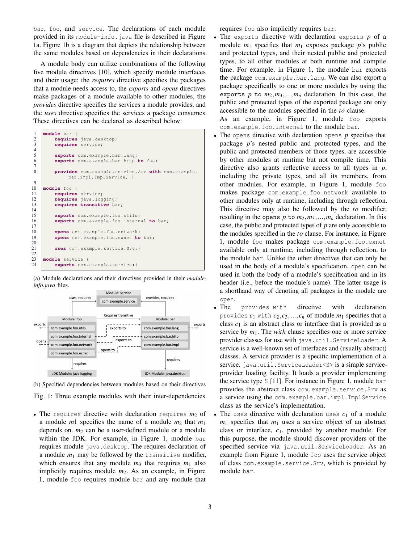bar, foo, and service. The declarations of each module provided in its module-info.java file is described in Figure 1a. Figure 1b is a diagram that depicts the relationship between the same modules based on dependencies in their declarations.

A module body can utilize combinations of the following five module directives [10], which specify module interfaces and their usage: the *requires* directive specifies the packages that a module needs access to, the *exports* and *opens* directives make packages of a module available to other modules, the *provides* directive specifies the services a module provides, and the *uses* directive specifies the services a package consumes. These directives can be declared as described below:

| 1              | module bar {                                           |
|----------------|--------------------------------------------------------|
| $\overline{c}$ | requires java.desktop;                                 |
| 3              | requires service;                                      |
| $\overline{4}$ |                                                        |
| 5              | exports com. example.bar.lang;                         |
| 6              | exports com.example.bar.http to foo;                   |
| 7              |                                                        |
| 8              | provides com. example. service. Srv with com. example. |
|                | bar.impl.ImplService; }                                |
| 9              |                                                        |
| 10             | module foo {                                           |
| 11             | requires service;                                      |
| 12             | requires java. logging;                                |
| 13             | requires transitive bar;                               |
| 14             |                                                        |
| 15             | exports com.example.foo.utils;                         |
| 16             | exports com.example.foo.internal to bar;               |
| 17             |                                                        |
| 18             | opens com.example.foo.network;                         |
| 19             | opens com. example. foo. exnet to bar;                 |
|                |                                                        |
| 20             |                                                        |
| 21             | uses com.example.service.Srv; }                        |
| 22             |                                                        |
| 23             | module service {                                       |
| 24             | exports com. example. service; }                       |

(a) Module declarations and their directives provided in their *moduleinfo.java* files.



(b) Specified dependencies between modules based on their directives

Fig. 1: Three example modules with their inter-dependencies

• The requires directive with declaration requires  $m_2$  of a module *m*1 specifies the name of a module *m*<sup>2</sup> that *m*<sup>1</sup> depends on.  $m_2$  can be a user-defined module or a module within the JDK. For example, in Figure 1, module bar requires module java.desktop. The requires declaration of a module *m*<sup>1</sup> may be followed by the transitive modifier, which ensures that any module  $m_3$  that requires  $m_1$  also implicitly requires module *m*2. As an example, in Figure 1, module foo requires module bar and any module that

requires foo also implicitly requires bar.

• The exports directive with declaration exports *p* of a module  $m_1$  specifies that  $m_1$  exposes package  $p$ 's public and protected types, and their nested public and protected types, to all other modules at both runtime and compile time. For example, in Figure 1, the module bar exports the package com.example.bar.lang. We can also export a package specifically to one or more modules by using the exports  $p$  to  $m_2, m_3, ..., m_n$  declaration. In this case, the public and protected types of the exported package are only accessible to the modules specified in the *to* clause.

As an example, in Figure 1, module foo exports com.example.foo.internal to the module bar.

- The opens directive with declaration opens *p* specifies that package *p*'s nested public and protected types, and the public and protected members of those types, are accessible by other modules at runtime but not compile time. This directive also grants reflective access to all types in *p*, including the private types, and all its members, from other modules. For example, in Figure 1, module foo makes package com.example.foo.network available to other modules only at runtime, including through reflection. This directive may also be followed by the *to* modifier, resulting in the opens  $p$  to  $m_2, m_3, ..., m_n$  declaration. In this case, the public and protected types of *p* are only accessible to the modules specified in the *to* clause. For instance, in Figure 1, module foo makes package com.example.foo.exnet available only at runtime, including through reflection, to the module bar. Unlike the other directives that can only be used in the body of a module's specification, open can be used in both the body of a module's specification and in its header (i.e., before the module's name). The latter usage is a shorthand way of denoting all packages in the module are open.
- The provides with directive with declaration provides  $c_1$  with  $c_2, c_3, ..., c_n$  of module  $m_1$  specifies that a class  $c_1$  is an abstract class or interface that is provided as a service by *m*1. The *with* clause specifies one or more service provider classes for use with java.util.ServiceLoader. A service is a well-known set of interfaces and (usually abstract) classes. A service provider is a specific implementation of a service. java.util.ServiceLoader<S> is a simple serviceprovider loading facility. It loads a provider implementing the service type S [11]. For instance in Figure 1, module bar provides the abstract class com.example.service.Srv as a service using the com.example.bar.impl.ImplService class as the service's implementation.
- The uses directive with declaration uses  $c_1$  of a module  $m_1$  specifies that  $m_1$  uses a service object of an abstract class or interface, *c*1, provided by another module. For this purpose, the module should discover providers of the specified service via java.util.ServiceLoader. As an example from Figure 1, module foo uses the service object of class com.example.service.Srv, which is provided by module bar.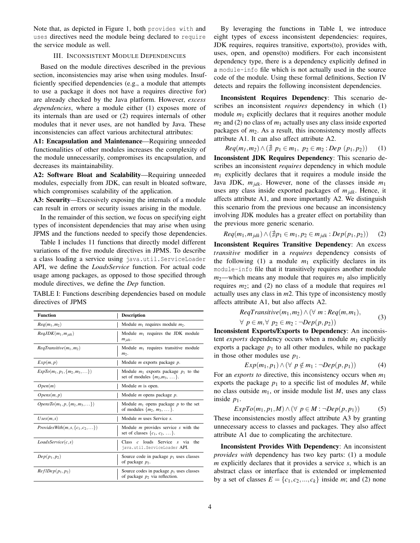Note that, as depicted in Figure 1, both provides with and uses directives need the module being declared to require the service module as well.

## III. INCONSISTENT MODULE DEPENDENCIES

Based on the module directives described in the previous section, inconsistencies may arise when using modules. Insufficiently specified dependencies (e.g., a module that attempts to use a package it does not have a requires directive for) are already checked by the Java platform. However, *excess dependencies*, where a module either (1) exposes more of its internals than are used or (2) requires internals of other modules that it never uses, are not handled by Java. These inconsistencies can affect various architectural attributes:

A1: Encapsulation and Maintenance—Requiring unneeded functionalities of other modules increases the complexity of the module unnecessarily, compromises its encapsulation, and decreases its maintainability.

A2: Software Bloat and Scalability—Requiring unneeded modules, especially from JDK, can result in bloated software, which compromises scalability of the application.

A3: Security—Excessively exposing the internals of a module can result in errors or security issues arising in the module.

In the remainder of this section, we focus on specifying eight types of inconsistent dependencies that may arise when using JPMS and the functions needed to specify those dependencies.

Table I includes 11 functions that directly model different variations of the five module directives in JPMS. To describe a class loading a service using java.util.ServiceLoader API, we define the *LoadsService* function. For actual code usage among packages, as opposed to those specified through module directives, we define the *Dep* function.

TABLE I: Functions describing dependencies based on module directives of JPMS

| <b>Function</b>                                    | <b>Description</b>                                                                 |
|----------------------------------------------------|------------------------------------------------------------------------------------|
| $Req(m_1, m_2)$                                    | Module $m_1$ requires module $m_2$ .                                               |
| $RegJDK(m_1, m_{idk})$                             | Module $m_1$ requires the JDK module<br>$m_{jdk}$ .                                |
| $RegTransitive(m_1, m_2)$                          | Module $m_1$ requires transitive module<br>$m2$ .                                  |
| Exp(m, p)                                          | Module $m$ exports package $p$ .                                                   |
| $ExpTo(m_1, p_1, \{m_2, m_3, \ldots\})$            | Module $m_1$ exports package $p_1$ to the<br>set of modules $\{m_2,m_3,\ldots\}$ . |
| Open(m)                                            | Module $m$ is open.                                                                |
| Opens(m, p)                                        | Module $m$ opens package $p$ .                                                     |
| $OpensTo(m_1, p, \{m_2, m_3, \ldots\})$            | Module $m_1$ opens package p to the set<br>of modules $\{m_2, m_3, \dots\}$ .      |
| $U$ ses $(m, s)$                                   | Module $m$ uses Service $s$ .                                                      |
| <i>ProvidesWith</i> $(m, s, \{c_1, c_2, \ldots\})$ | Module $m$ provides service $s$ with the<br>set of classes $\{c_1, c_2, \dots\}$ . |
| LoadsService(c, s)                                 | Class c loads Service s via<br>the.<br>java.util.ServiceLoader API.                |
| $Dep(p_1, p_2)$                                    | Source code in package $p_1$ uses classes<br>of package $p_2$ .                    |
| $ReflDep(p_1, p_2)$                                | Source codes in package $p_1$ uses classes<br>of package $p_2$ via reflection.     |

By leveraging the functions in Table I, we introduce eight types of excess inconsistent dependencies: requires, JDK requires, requires transitive, exports(to), provides with, uses, open, and opens(to) modifiers. For each inconsistent dependency type, there is a dependency explicitly defined in a module-info file which is not actually used in the source code of the module. Using these formal definitions, Section IV detects and repairs the following inconsistent dependencies.

Inconsistent Requires Dependency: This scenario describes an inconsistent *requires* dependency in which (1) module  $m_1$  explicitly declares that it requires another module  $m_2$  and (2) no class of  $m_1$  actually uses any class inside exported packages of  $m_2$ . As a result, this inconsistency mostly affects attribute A1. It can also affect attribute A2.

*Req*(*m*<sub>1</sub>, *m*<sub>2</sub>)∧( $\sharp$  *p*<sub>1</sub> ∈ *m*<sub>1</sub>, *p*<sub>2</sub> ∈ *m*<sub>2</sub> : *Dep* (*p*<sub>1</sub>, *p*<sub>2</sub>)) (1)

Inconsistent JDK Requires Dependency: This scenario describes an inconsistent *requires* dependency in which module  $m_1$  explicitly declares that it requires a module inside the Java JDK, *mjdk*. However, none of the classes inside *m*<sup>1</sup> uses any class inside exported packages of *mjdk*. Hence, it affects attribute A1, and more importantly A2. We distinguish this scenario from the previous one because an inconsistency involving JDK modules has a greater effect on portability than the previous more generic scenario.

$$
Req(m_1, m_{jdk}) \wedge (\nexists p_1 \in m_1, p_2 \in m_{jdk} : Dep(p_1, p_2)) \qquad (2)
$$

Inconsistent Requires Transitive Dependency: An excess *transitive* modifier in a *requires* dependency consists of the following  $(1)$  a module  $m_1$  explicitly declares in its module-info file that it transitively requires another module  $m_2$ —which means any module that requires  $m_1$  also implicitly requires *m*2; and (2) no class of a module that requires *m*1 actually uses any class in *m*2. This type of inconsistency mostly affects attribute A1, but also affects A2.

$$
RegTransitive(m_1, m_2) \wedge (\forall m : Req(m, m_1),
$$
 (3)

$$
\forall p \in m, \forall p_2 \in m_2 : \neg Dep(p, p_2))
$$
\n(3)

Inconsistent Exports/Exports to Dependency: An inconsistent *exports* dependency occurs when a module  $m_1$  explicitly exports a package  $p_1$  to all other modules, while no package in those other modules use  $p_1$ .

$$
Exp(m_1, p_1) \wedge (\forall p \notin m_1 : \neg Dep(p, p_1))
$$
 (4)

For an *exports to* directive, this inconsistency occurs when *m*<sup>1</sup> exports the package  $p_1$  to a specific list of modules  $M$ , while no class outside *m*1, or inside module list *M*, uses any class inside  $p_1$ .

$$
ExpTo(m_1, p_1, M) \land (\forall p \in M : \neg Dep(p, p_1))
$$
 (5)

These inconsistencies mostly affect attribute A3 by granting unnecessary access to classes and packages. They also affect attribute A1 due to complicating the architecture.

Inconsistent Provides With Dependency: An inconsistent *provides with* dependency has two key parts: (1) a module *m* explicitly declares that it provides a service *s*, which is an abstract class or interface that is extended or implemented by a set of classes  $E = \{c_1, c_2, ..., c_k\}$  inside *m*; and (2) none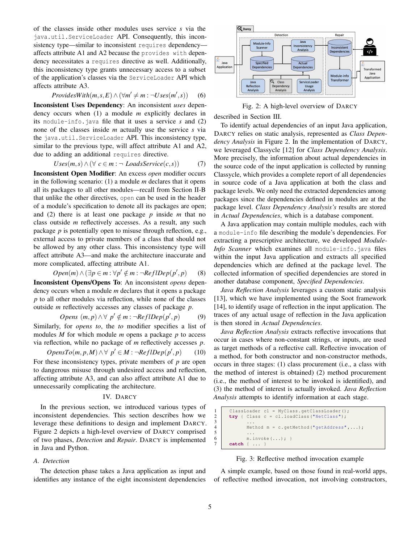of the classes inside other modules uses service *s* via the java.util.ServiceLoader API. Consequently, this inconsistency type—similar to inconsistent requires dependency affects attribute A1 and A2 because the provides with dependency necessitates a requires directive as well. Additionally, this inconsistency type grants unnecessary access to a subset of the application's classes via the ServiceLoader API which affects attribute A3.

$$
Provides With (m, s, E) \land (\forall m' \neq m : \neg Uses(m', s))
$$
 (6)

Inconsistent Uses Dependency: An inconsistent *uses* dependency occurs when (1) a module *m* explicitly declares in its module-info.java file that it uses a service *s* and (2) none of the classes inside *m* actually use the service *s* via the java.util.ServiceLoader API. This inconsistency type, similar to the previous type, will affect attribute A1 and A2, due to adding an additional requires directive.

$$
Uses(m,s) \land (\forall c \in m : \neg \text{ LoadssService}(c,s))
$$
 (7)

Inconsistent Open Modifier: An excess *open* modifier occurs in the following scenario: (1) a module *m* declares that it opens all its packages to all other modules—recall from Section II-B that unlike the other directives, open can be used in the header of a module's specification to denote all its packages are open; and (2) there is at least one package *p* inside *m* that no class outside *m* reflectively accesses. As a result, any such package *p* is potentially open to misuse through reflection, e.g., external access to private members of a class that should not be allowed by any other class. This inconsistency type will affect attribute A3—and make the architecture inaccurate and more complicated, affecting attribute A1.

$$
Open(m) \land (\exists p \in m : \forall p' \notin m : \neg RefIDep(p', p) \qquad (8)
$$

Inconsistent Opens/Opens To: An inconsistent *opens* dependency occurs when a module *m* declares that it opens a package *p* to all other modules via reflection, while none of the classes outside *m* reflectively accesses any classes of package *p*.

$$
Opens (m, p) \land \forall p' \notin m : \neg RefIDep(p', p) \tag{9}
$$

Similarly, for *opens to*, the *to* modifier specifies a list of modules *M* for which module *m* opens a package *p* to access via reflection, while no package of *m* reflectively accesses *p*.

$$
OpensTo(m, p, M) \land \forall p' \in M : \neg RefIDep(p', p) \qquad (10)
$$

For these inconsistency types, private members of *p* are open to dangerous misuse through undesired access and reflection, affecting attribute A3, and can also affect attribute A1 due to unnecessarily complicating the architecture.

## IV. DARCY

In the previous section, we introduced various types of inconsistent dependencies. This section describes how we leverage these definitions to design and implement DARCY. Figure 2 depicts a high-level overview of DARCY comprised of two phases, *Detection* and *Repair*. DARCY is implemented in Java and Python.

#### *A. Detection*

The detection phase takes a Java application as input and identifies any instance of the eight inconsistent dependencies



Fig. 2: A high-level overview of DARCY

described in Section III.

To identify actual dependencies of an input Java application, DARCY relies on static analysis, represented as *Class Dependency Analysis* in Figure 2. In the implementation of DARCY, we leveraged Classycle [12] for *Class Dependency Analysis*. More precisely, the information about actual dependencies in the source code of the input application is collected by running Classycle, which provides a complete report of all dependencies in source code of a Java application at both the class and package levels. We only need the extracted dependencies among packages since the dependencies defined in modules are at the package level. *Class Dependency Analysis's* results are stored in *Actual Dependencies*, which is a database component.

A Java application may contain multiple modules, each with a module-info file describing the module's dependencies. For extracting a prescriptive architecture, we developed *Module-Info Scanner* which examines all module-info.java files within the input Java application and extracts all specified dependencies which are defined at the package level. The collected information of specified dependencies are stored in another database component, *Specified Dependencies*.

*Java Reflection Analysis* leverages a custom static analysis [13], which we have implemented using the Soot framework [14], to identify usage of reflection in the input application. The traces of any actual usage of reflection in the Java application is then stored in *Actual Dependencies*.

*Java Reflection Analysis* extracts reflective invocations that occur in cases where non-constant strings, or inputs, are used as target methods of a reflective call. Reflective invocation of a method, for both constructor and non-constructor methods, occurs in three stages: (1) class procurement (i.e., a class with the method of interest is obtained) (2) method procurement (i.e., the method of interest to be invoked is identified), and (3) the method of interest is actually invoked. *Java Reflection Analysis* attempts to identify information at each stage.

```
1 ClassLoader cl = MyClass.getClassLoader ();<br>2 try { Class c = cl.loadClass ("NetClass");
\begin{array}{c|c} 2 & \text{try} { \text{ Class } c = cl.\text{loadClass("NetClass");}} \\ \hline \end{array}3 \mid \cdot \cdot \cdot \cdot4 Method m = c.getMethod("getAddress", ...);
5 \mid \ldots6 m \text{.invoke } (\ldots); }
        7 catch { ... }
```
#### Fig. 3: Reflective method invocation example

A simple example, based on those found in real-world apps, of reflective method invocation, not involving constructors,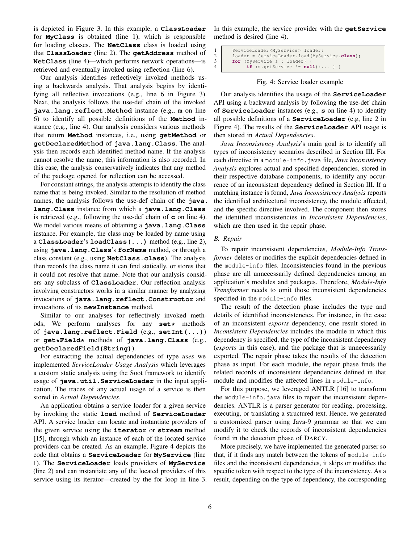is depicted in Figure 3. In this example, a **ClassLoader** for **MyClass** is obtained (line 1), which is responsible for loading classes. The **NetClass** class is loaded using that **ClassLoader** (line 2). The **getAddress** method of **NetClass** (line 4)—which performs network operations—is retrieved and eventually invoked using reflection (line 6).

Our analysis identifies reflectively invoked methods using a backwards analysis. That analysis begins by identifying all reflective invocations (e.g., line 6 in Figure 3). Next, the analysis follows the use-def chain of the invoked **java.lang.reflect.Method** instance (e.g., **m** on line 6) to identify all possible definitions of the **Method** instance (e.g., line 4). Our analysis considers various methods that return **Method** instances, i.e., using **getMethod** or **getDeclaredMethod** of **java.lang.Class**. The analysis then records each identified method name. If the analysis cannot resolve the name, this information is also recorded. In this case, the analysis conservatively indicates that any method of the package opened for reflection can be accessed.

For constant strings, the analysis attempts to identify the class name that is being invoked. Similar to the resolution of method names, the analysis follows the use-def chain of the **java. lang.Class** instance from which a **java.lang.Class** is retrieved (e.g., following the use-def chain of **c** on line 4). We model various means of obtaining a **java.lang.Class** instance. For example, the class may be loaded by name using a **ClassLoader**'s **loadClass(...)** method (e.g., line 2), using **java.lang.Class**'s **forName** method, or through a class constant (e.g., using **NetClass.class**). The analysis then records the class name it can find statically, or stores that it could not resolve that name. Note that our analysis considers any subclass of **ClassLoader**. Our reflection analysis involving constructors works in a similar manner by analyzing invocations of **java.lang.reflect.Constructor** and invocations of its **newInstance** method.

Similar to our analyses for reflectively invoked methods, We perform analyses for any **set\*** methods of **java.lang.reflect.Field** (e.g., **setInt(...)**) or **get\*Field\*** methods of **java.lang.Class** (e.g., **getDeclaredField(String)**).

For extracting the actual dependencies of type *uses* we implemented *ServiceLoader Usage Analysis* which leverages a custom static analysis using the Soot framework to identify usage of **java.util.ServiceLoader** in the input application. The traces of any actual usage of a service is then stored in *Actual Dependencies*.

An application obtains a service loader for a given service by invoking the static **load** method of **ServiceLoader** API. A service loader can locate and instantiate providers of the given service using the **iterator** or **stream** method [15], through which an instance of each of the located service providers can be created. As an example, Figure 4 depicts the code that obtains a **ServiceLoader** for **MyService** (line 1). The **ServiceLoader** loads providers of **MyService** (line 2) and can instantiate any of the located providers of this service using its iterator—created by the for loop in line 3. In this example, the service provider with the **getService** method is desired (line 4).

```
1 ServiceLoader<MyService> loader;<br>
2 loader = ServiceLoader.load(MySe
2 loader = ServiceLoader.load (MyService.class);<br>for (MyService s : loader) {
3 for (MyService s : loader)<br>4 if (s.getService != nu
                  4 if (s. getService != null) {... } }
```
Fig. 4: Service loader example

Our analysis identifies the usage of the **ServiceLoader** API using a backward analysis by following the use-def chain of **ServiceLoader** instances (e.g., **s** on line 4) to identify all possible definitions of a **ServiceLoader** (e.g, line 2 in Figure 4). The results of the **ServiceLoader** API usage is then stored in *Actual Dependencies*.

*Java Inconsistency Analysis*'s main goal is to identify all types of inconsistency scenarios described in Section III. For each directive in a module-info.java file, *Java Inconsistency Analysis* explores actual and specified dependencies, stored in their respective database components, to identify any occurrence of an inconsistent dependency defined in Section III. If a matching instance is found, *Java Inconsistency Analysis* reports the identified architectural inconsistency, the module affected, and the specific directive involved. The component then stores the identified inconsistencies in *Inconsistent Dependencies*, which are then used in the repair phase.

#### *B. Repair*

To repair inconsistent dependencies, *Module-Info Transformer* deletes or modifies the explicit dependencies defined in the module-info files. Inconsistencies found in the previous phase are all unnecessarily defined dependencies among an application's modules and packages. Therefore, *Module-Info Transformer* needs to omit those inconsistent dependencies specified in the module-info files.

The result of the detection phase includes the type and details of identified inconsistencies. For instance, in the case of an inconsistent *exports* dependency, one result stored in *Inconsistent Dependencies* includes the module in which this dependency is specified, the type of the inconsistent dependency (*exports* in this case), and the package that is unnecessarily exported. The repair phase takes the results of the detection phase as input. For each module, the repair phase finds the related records of inconsistent dependencies defined in that module and modifies the affected lines in module-info.

For this purpose, we leveraged ANTLR [16] to transform the module-info.java files to repair the inconsistent dependencies. ANTLR is a parser generator for reading, processing, executing, or translating a structured text. Hence, we generated a customized parser using Java-9 grammar so that we can modify it to check the records of inconsistent dependencies found in the detection phase of DARCY.

More precisely, we have implemented the generated parser so that, if it finds any match between the tokens of module-info files and the inconsistent dependencies, it skips or modifies the specific token with respect to the type of the inconsistency. As a result, depending on the type of dependency, the corresponding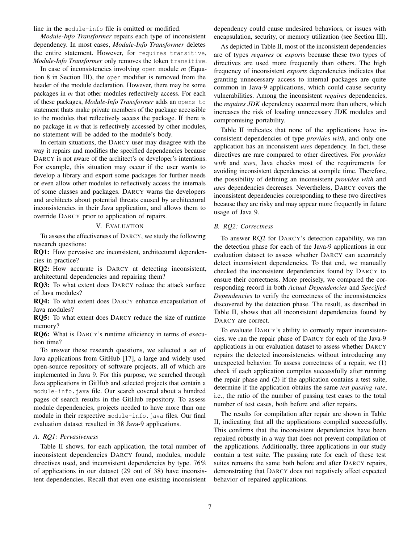line in the module-info file is omitted or modified.

*Module-Info Transformer* repairs each type of inconsistent dependency. In most cases, *Module-Info Transformer* deletes the entire statement. However, for requires transitive, *Module-Info Transformer* only removes the token transitive.

In case of inconsistencies involving open module *m* (Equation 8 in Section III), the open modifier is removed from the header of the module declaration. However, there may be some packages in *m* that other modules reflectively access. For each of these packages, *Module-Info Transformer* adds an opens to statement thats make private members of the package accessible to the modules that reflectively access the package. If there is no package in *m* that is reflectively accessed by other modules, no statement will be added to the module's body.

In certain situations, the DARCY user may disagree with the way it repairs and modifies the specified dependencies because DARCY is not aware of the architect's or developer's intentions. For example, this situation may occur if the user wants to develop a library and export some packages for further needs or even allow other modules to reflectively access the internals of some classes and packages. DARCY warns the developers and architects about potential threats caused by architectural inconsistencies in their Java application, and allows them to override DARCY prior to application of repairs.

## V. EVALUATION

To assess the effectiveness of DARCY, we study the following research questions:

RQ1: How pervasive are inconsistent, architectural dependencies in practice?

RQ2: How accurate is DARCY at detecting inconsistent, architectural dependencies and repairing them?

RQ3: To what extent does DARCY reduce the attack surface of Java modules?

RQ4: To what extent does DARCY enhance encapsulation of Java modules?

RQ5: To what extent does DARCY reduce the size of runtime memory?

RQ6: What is DARCY's runtime efficiency in terms of execution time?

To answer these research questions, we selected a set of Java applications from GitHub [17], a large and widely used open-source repository of software projects, all of which are implemented in Java 9. For this purpose, we searched through Java applications in GitHub and selected projects that contain a module-info.java file. Our search covered about a hundred pages of search results in the GitHub repository. To assess module dependencies, projects needed to have more than one module in their respective module-info. java files. Our final evaluation dataset resulted in 38 Java-9 applications.

## *A. RQ1: Pervasiveness*

Table II shows, for each application, the total number of inconsistent dependencies DARCY found, modules, module directives used, and inconsistent dependencies by type. 76% of applications in our dataset (29 out of 38) have inconsistent dependencies. Recall that even one existing inconsistent

dependency could cause undesired behaviors, or issues with encapsulation, security, or memory utilization (see Section III).

As depicted in Table II, most of the inconsistent dependencies are of types *requires* or *exports* because these two types of directives are used more frequently than others. The high frequency of inconsistent *exports* dependencies indicates that granting unnecessary access to internal packages are quite common in Java-9 applications, which could cause security vulnerabilities. Among the inconsistent *requires* dependencies, the *requires JDK* dependency occurred more than others, which increases the risk of loading unnecessary JDK modules and compromising portability.

Table II indicates that none of the applications have inconsistent dependencies of type *provides with*, and only one application has an inconsistent *uses* dependency. In fact, these directives are rare compared to other directives. For *provides with* and *uses*, Java checks most of the requirements for avoiding inconsistent dependencies at compile time. Therefore, the possibility of defining an inconsistent *provides with* and *uses* dependencies decreases. Nevertheless, DARCY covers the inconsistent dependencies corresponding to these two directives because they are risky and may appear more frequently in future usage of Java 9.

## *B. RQ2: Correctness*

To answer RQ2 for DARCY's detection capability, we ran the detection phase for each of the Java-9 applications in our evaluation dataset to assess whether DARCY can accurately detect inconsistent dependencies. To that end, we manually checked the inconsistent dependencies found by DARCY to ensure their correctness. More precisely, we compared the corresponding record in both *Actual Dependencies* and *Specified Dependencies* to verify the correctness of the inconsistencies discovered by the detection phase. The result, as described in Table II, shows that all inconsistent dependencies found by DARCY are correct.

To evaluate DARCY's ability to correctly repair inconsistencies, we ran the repair phase of DARCY for each of the Java-9 applications in our evaluation dataset to assess whether DARCY repairs the detected inconsistencies without introducing any unexpected behavior. To assess correctness of a repair, we (1) check if each application compiles successfully after running the repair phase and (2) if the application contains a test suite, determine if the application obtains the same *test passing rate*, i.e., the ratio of the number of passing test cases to the total number of test cases, both before and after repairs.

The results for compilation after repair are shown in Table II, indicating that all the applications compiled successfully. This confirms that the inconsistent dependencies have been repaired robustly in a way that does not prevent compilation of the applications. Additionally, three applications in our study contain a test suite. The passing rate for each of these test suites remains the same both before and after DARCY repairs, demonstrating that DARCY does not negatively affect expected behavior of repaired applications.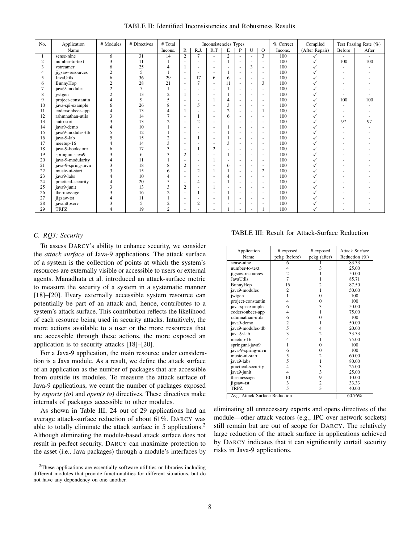TABLE II: Identified Inconsistencies and Robustness Results

| No. | Application        | # Modules               | # Directives | # Total                 |                          |                          | Inconsistencies Types    |                          |                          |                          |                          | % Correct | Compiled       |        | Test Passing Rate (%) |
|-----|--------------------|-------------------------|--------------|-------------------------|--------------------------|--------------------------|--------------------------|--------------------------|--------------------------|--------------------------|--------------------------|-----------|----------------|--------|-----------------------|
|     | Name               |                         |              | Incons.                 | $\mathbb{R}$             | R.J.                     | R.T                      | E                        | P                        | U                        | $\Omega$                 | Incons.   | (After Repair) | Before | After                 |
|     | sense-nine         | 6                       | 31           | 14                      | $\overline{2}$           | 7                        | ٠                        | $\overline{2}$           | $\overline{\phantom{a}}$ | $\overline{\phantom{a}}$ | $\overline{3}$           | 100       |                | ٠      |                       |
| 2   | number-to-text     | $\overline{\mathbf{3}}$ | 11           |                         | $\overline{\phantom{a}}$ | ٠                        |                          |                          | ٠                        | $\mathbf{r}$             |                          | 100       | $\checkmark$   | 100    | 100                   |
| 3   | vstreamer          | 6                       | 25           | 4                       | 1                        | ٠                        | $\overline{a}$           |                          |                          | 3                        | ٠                        | 100       |                |        |                       |
| 4   | jigsaw-resources   | $\overline{c}$          | 5            |                         | $\sim$                   | ٠                        | $\sim$                   |                          |                          | $\overline{\phantom{a}}$ | ٠                        | 100       |                |        |                       |
| 5   | JavaUtils          | 6                       | 36           | 29                      | $\sim$                   | 17                       | 6                        | 6                        | ٠                        | $\overline{\phantom{a}}$ | ٠                        | 100       |                |        |                       |
| 6   | BunnyHop           | $\overline{c}$          | 28           | 21                      | $\sim$                   | $\overline{7}$           | $\sim$                   | 11                       | $\sim$                   | $\overline{\phantom{a}}$ | 3                        | 100       |                |        |                       |
|     | java9-modules      | $\overline{c}$          | 5            | $\mathbf{1}$            | $\sim$                   | $\overline{\phantom{a}}$ | ٠                        |                          | ٠                        | $\overline{\phantom{a}}$ | ٠                        | 100       |                |        |                       |
| 8   | jwtgen             | $\overline{c}$          | 13           | $\overline{c}$          |                          | $\overline{\phantom{a}}$ | ٠                        |                          | ٠                        | $\overline{\phantom{a}}$ | ٠                        | 100       |                |        |                       |
| 9   | project-constantin | $\lambda$               | $\mathbf Q$  | 5                       | $\sim$                   | $\overline{\phantom{a}}$ |                          | $\overline{4}$           | ٠                        | $\overline{\phantom{a}}$ | ٠                        | 100       |                | 100    | 100                   |
| 10  | java-spi-example   | 6                       | 26           | 8                       | $\sim$                   | 5                        |                          | 3                        | ٠                        | $\overline{\phantom{a}}$ |                          | 100       |                |        |                       |
| 11  | codersonbeer-app   | $\overline{4}$          | 13           | $\overline{4}$          | 1                        | ٠                        | $\sim$                   | $\overline{2}$           | ٠                        | $\overline{\phantom{a}}$ | 1                        | 100       |                |        |                       |
| 12  | rahmnathan-utils   | 3                       | 14           | 7                       | $\sim$                   |                          | ٠                        | 6                        | ٠                        | $\ddot{\phantom{1}}$     |                          | 100       |                |        |                       |
| 13  | auto-sort          | 3                       | 13           | $\overline{c}$          | $\sim$                   | $\overline{c}$           | $\sim$                   | $\sim$                   | ٠                        | $\overline{\phantom{a}}$ | $\sim$                   | 100       |                | 97     | 97                    |
| 14  | iava9-demo         |                         | 10           |                         | $\overline{a}$           |                          | $\overline{\phantom{a}}$ |                          | ٠                        | $\overline{\phantom{a}}$ | $\overline{a}$           | 100       |                |        |                       |
| 15  | iava9-modules-tlb  | 5                       | 12           |                         | $\sim$                   | ٠                        | ٠                        |                          | ٠                        | $\overline{\phantom{a}}$ | ٠                        | 100       |                |        |                       |
| 16  | java-9-lab         | 5                       | 15           | $\overline{c}$          | $\sim$                   |                          | $\sim$                   |                          | $\sim$                   | $\overline{\phantom{a}}$ | $\overline{\phantom{a}}$ | 100       |                |        |                       |
| 17  | meetup-16          |                         | 14           | 3                       | $\sim$                   |                          | ٠                        | 3                        | $\overline{a}$           | $\sim$                   | ٠                        | 100       |                |        |                       |
| 18  | java-9-bookstore   | 6                       | 17           | 3                       | $\sim$                   |                          | $\overline{c}$           | $\overline{\phantom{a}}$ | ٠                        | $\overline{\phantom{a}}$ | ٠                        | 100       |                |        |                       |
| 19  | springuni-java9    | $\overline{\mathbf{3}}$ | 6            | 3                       | $\overline{2}$           | $\sim$                   | ۰                        |                          | $\sim$                   | $\overline{\phantom{a}}$ | $\sim$                   | 100       |                |        |                       |
| 20  | java-9-modularity  |                         | 11           |                         | $\sim$                   |                          |                          | $\overline{\phantom{a}}$ | ٠                        | $\overline{\phantom{a}}$ | $\overline{a}$           | 100       |                |        |                       |
| 21  | java-9-spring-mvn  | 3                       | 18           | 8                       | $\overline{2}$           | $\overline{\phantom{a}}$ | ٠                        | 6                        |                          | $\overline{\phantom{a}}$ | $\sim$                   | 100       |                |        |                       |
| 22  | music-ui-start     | $\overline{\mathbf{3}}$ | 15           | 6                       | $\sim$                   | $\overline{c}$           |                          |                          | ٠                        | $\overline{\phantom{a}}$ | $\overline{c}$           | 100       |                |        |                       |
| 23  | java9-labs         |                         | 10           | 4                       | $\sim$                   |                          | ٠                        | $\overline{4}$           | ٠                        | $\sim$                   | ٠                        | 100       |                |        |                       |
| 24  | practical-security |                         | 20           | 5                       | $\sim$                   | 4                        | ٠                        |                          | ٠                        | $\overline{\phantom{a}}$ | ٠                        | 100       |                |        |                       |
| 25  | java9-junit        | 3                       | 13           | 3                       | $\overline{2}$           |                          |                          | $\overline{\phantom{a}}$ | ٠                        | $\overline{\phantom{a}}$ | ٠                        | 100       |                |        |                       |
| 26  | the-message        | 3                       | 16           | $\overline{\mathbf{c}}$ | $\sim$                   |                          | $\overline{a}$           |                          | $\sim$                   | $\overline{\phantom{a}}$ | ٠                        | 100       |                |        |                       |
| 27  | jigsaw-tst         |                         | 11           |                         | $\sim$                   | ٠                        | ٠                        |                          |                          | $\overline{\phantom{a}}$ | ٠                        | 100       |                |        |                       |
| 28  | javahttpserv       | 3                       | 5            | $\overline{c}$          | $\sim$                   | $\overline{c}$           | $\overline{a}$           | $\overline{\phantom{a}}$ | ٠                        | $\overline{\phantom{a}}$ | $\overline{a}$           | 100       |                |        |                       |
| 29  | <b>TRPZ</b>        | $\overline{A}$          | 19           | $\overline{c}$          | $\sim$                   |                          | ٠                        |                          | $\sim$                   | $\overline{\phantom{a}}$ |                          | 100       |                |        |                       |

## *C. RQ3: Security*

To assess DARCY's ability to enhance security, we consider the *attack surface* of Java-9 applications. The attack surface of a system is the collection of points at which the system's resources are externally visible or accessible to users or external agents. Manadhata et al. introduced an attack-surface metric to measure the security of a system in a systematic manner [18]–[20]. Every externally accessible system resource can potentially be part of an attack and, hence, contributes to a system's attack surface. This contribution reflects the likelihood of each resource being used in security attacks. Intuitively, the more actions available to a user or the more resources that are accessible through these actions, the more exposed an application is to security attacks [18]–[20].

For a Java-9 application, the main resource under consideration is a Java module. As a result, we define the attack surface of an application as the number of packages that are accessible from outside its modules. To measure the attack surface of Java-9 applications, we count the number of packages exposed by *exports (to)* and *open(s to)* directives. These directives make internals of packages accessible to other modules.

As shown in Table III, 24 out of 29 applications had an average attack-surface reduction of about 61%. DARCY was able to totally eliminate the attack surface in 5 applications.<sup>2</sup> Although eliminating the module-based attack surface does not result in perfect security, DARCY can maximize protection to the asset (i.e., Java packages) through a module's interfaces by

TABLE III: Result for Attack-Surface Reduction

| Application                   | # exposed                | # exposed      | Attack Surface |  |
|-------------------------------|--------------------------|----------------|----------------|--|
| Name                          | pckg (before)            | pckg (after)   | Reduction (%)  |  |
| sense-nine                    | 6                        |                | 83.33          |  |
| number-to-text                | 4                        | 3              | 25.00          |  |
| jigsaw-resources              | $\overline{2}$           |                | 50.00          |  |
| <b>JavaUtils</b>              | $\overline{7}$           | 1              | 85.71          |  |
| BunnyHop                      | 16                       | $\overline{c}$ | 87.50          |  |
| java9-modules                 | $\overline{2}$           | 1              | 50.00          |  |
| jwtgen                        | 1                        | $\Omega$       | 100            |  |
| project-constantin            | 4                        | $\mathbf{0}$   | 100            |  |
| java-spi-example              | 6                        | 3              | 50.00          |  |
| codersonbeer-app              | 4                        | 1              | 75.00          |  |
| rahmnathan-utils              | 6                        | $\theta$       | 100            |  |
| java9-demo                    | $\overline{\mathbf{c}}$  | 1              | 50.00          |  |
| java9-modules-tlb             | 5                        | 4              | 20.00          |  |
| java-9-lab                    | 3                        | $\overline{2}$ | 33.33          |  |
| meetup-16                     | $\overline{4}$           | 1              | 75.00          |  |
| springuni-java9               | 1                        | $\theta$       | 100            |  |
| java-9-spring-mvn             | 6                        | $\mathbf{0}$   | 100            |  |
| music-ui-start                | 5                        | $\overline{2}$ | 60.00          |  |
| java9-labs                    | 5                        | 1              | 80.00          |  |
| practical-security            | 4                        | 3              | 25.00          |  |
| java9-junit                   | $\overline{4}$           | 3              | 25.00          |  |
| the-message                   | 10                       | 9              | 10.00          |  |
| jigsaw-tst                    | 3                        | $\overline{c}$ | 33.33          |  |
| TRPZ                          | $\overline{\phantom{0}}$ | 3              | 40.00          |  |
| Avg. Attack Surface Reduction |                          | 60.76%         |                |  |

eliminating all unnecessary exports and opens directives of the module—other attack vectors (e.g., IPC over network sockets) still remain but are out of scope for DARCY. The relatively large reduction of the attack surface in applications achieved by DARCY indicates that it can significantly curtail security risks in Java-9 applications.

<sup>&</sup>lt;sup>2</sup>These applications are essentially software utilities or libraries including different modules that provide functionalities for different situations, but do not have any dependency on one another.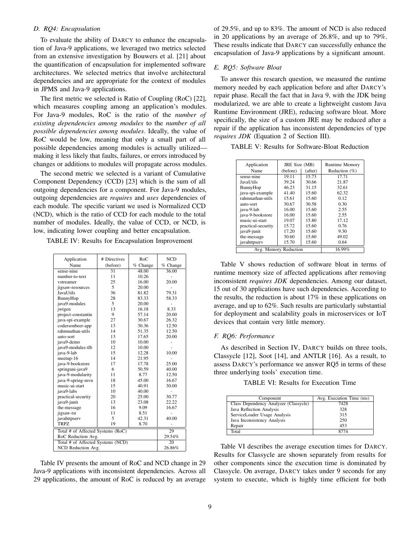#### *D. RQ4: Encapsulation*

To evaluate the ability of DARCY to enhance the encapsulation of Java-9 applications, we leveraged two metrics selected from an extensive investigation by Bouwers et al. [21] about the quantification of encapsulation for implemented software architectures. We selected metrics that involve architectural dependencies and are appropriate for the context of modules in JPMS and Java-9 applications.

The first metric we selected is Ratio of Coupling (RoC) [22], which measures coupling among an application's modules. For Java-9 modules, RoC is the ratio of the *number of existing dependencies among modules* to the *number of all possible dependencies among modules*. Ideally, the value of RoC would be low, meaning that only a small part of all possible dependencies among modules is actually utilized making it less likely that faults, failures, or errors introduced by changes or additions to modules will propagate across modules.

The second metric we selected is a variant of Cumulative Component Dependency (CCD) [23] which is the sum of all outgoing dependencies for a component. For Java-9 modules, outgoing dependencies are *requires* and *uses* dependencies of each module. The specific variant we used is Normalized CCD (NCD), which is the ratio of CCD for each module to the total number of modules. Ideally, the value of CCD, or NCD, is low, indicating lower coupling and better encapsulation.

|  |  | TABLE IV: Results for Encapsulation Improvement |  |
|--|--|-------------------------------------------------|--|
|  |  |                                                 |  |

| Application                       | # Directives    | RoC           | <b>NCD</b> |
|-----------------------------------|-----------------|---------------|------------|
| Name                              | (before)        | % Change      | % Change   |
| sense-nine                        | $\overline{31}$ | 48.00         | 36.00      |
| number-to-text                    | 11              | 10.26         |            |
| vstreamer                         | 25              | 16.00         | 20.00      |
| jigsaw-resources                  | 5               | 20.00         |            |
| JavaUtils                         | 36              | 81.82         | 79.31      |
| BunnyHop                          | 28              | 83.33         | 58.33      |
| java9-modules                     | 5               | 20.00         |            |
| jwtgen                            | 13              | 16.18         | 8.33       |
| project-constantin                | 9               | 57.14         | 20.00      |
| java-spi-example                  | 27              | 30.67         | 26.32      |
| codersonbeer-app                  | 13              | 30.36         | 12.50      |
| rahmnathan-utils                  | 14              | 51.35         | 12.50      |
| auto-sort                         | 13              | 17.65         | 20.00      |
| java9-demo                        | 10              | 10.00         |            |
| java9-modules-tlb                 | 12              | 10.00         |            |
| java-9-lab                        | 15              | 12.28         | 10.00      |
| meetup-16                         | 14              | 21.95         |            |
| java-9-bookstore                  | 17              | 17.78         | 25.00      |
| springuni-java9                   | 6               | 50.59         | 40.00      |
| java-9-modularity                 | 11              | 8.77          | 12.50      |
| java-9-spring-mvn                 | 18              | 45.00         | 16.67      |
| music-ui-start                    | 15              | 40.91         | 30.00      |
| iava9-labs                        | 10              | 40.00         |            |
| practical-security                | 20              | 25.00         | 30.77      |
| java9-junit                       | 13              | 23.08         | 22.22      |
| the-message                       | 16              | 9.09          | 16.67      |
| jigsaw-tst                        | 11              | 8.51          |            |
| javahttpserv                      | 5<br>19         | 42.31<br>8.70 | 40.00      |
| TRPZ                              |                 |               |            |
| Total # of Affected Systems (RoC) | 29              |               |            |
| RoC Reduction Avg.                | 29.54%          |               |            |
| Total # of Affected Systems (NCD) | 20              |               |            |
| NCD Reduction Avg.                | 26.86%          |               |            |

Table IV presents the amount of RoC and NCD change in 29 Java-9 applications with inconsistent dependencies. Across all 29 applications, the amount of RoC is reduced by an average

of 29.5%, and up to 83%. The amount of NCD is also reduced in 20 applications by an average of 26.8%, and up to 79%. These results indicate that DARCY can successfully enhance the encapsulation of Java-9 applications by a significant amount.

## *E. RQ5: Software Bloat*

To answer this research question, we measured the runtime memory needed by each application before and after DARCY's repair phase. Recall the fact that in Java 9, with the JDK being modularized, we are able to create a lightweight custom Java Runtime Environment (JRE), reducing software bloat. More specifically, the size of a custom JRE may be reduced after a repair if the application has inconsistent dependencies of type *requires JDK* (Equation 2 of Section III).

| TABLE V: Results for Software-Bloat Reduction |
|-----------------------------------------------|
|-----------------------------------------------|

| Application           | JRE Size (MB) |         | <b>Runtime Memory</b> |
|-----------------------|---------------|---------|-----------------------|
| Name                  | (before)      | (after) | Reduction $(\%)$      |
| sense-nine            | 19.11         | 15.73   | 17.71                 |
| <b>JavaUtils</b>      | 39.24         | 30.66   | 21.87                 |
| BunnyHop              | 46.23         | 31.15   | 32.61                 |
| java-spi-example      | 41.40         | 15.60   | 62.32                 |
| rahmnathan-utils      | 15.61         | 15.60   | 0.12                  |
| auto-sort             | 30.67         | 30.58   | 0.30                  |
| java-9-lab            | 16.00         | 15.60   | 2.55                  |
| java-9-bookstore      | 16.00         | 15.60   | 2.55                  |
| music-ui-start        | 19.07         | 15.80   | 17.12                 |
| practical-security    | 15.72         | 15.60   | 0.76                  |
| java9-junit           | 17.20         | 15.60   | 9.30                  |
| the-message           | 30.60         | 15.60   | 49.02                 |
| javahttpserv          | 15.70         | 15.60   | 0.64                  |
| Avg. Memory Reduction | 16.99%        |         |                       |

Table V shows reduction of software bloat in terms of runtime memory size of affected applications after removing inconsistent *requires JDK* dependencies. Among our dataset, 15 out of 30 applications have such dependencies. According to the results, the reduction is about 17% in these applications on average, and up to 62%. Such results are particularly substantial for deployment and scalability goals in microservices or IoT devices that contain very little memory.

#### *F. RQ6: Performance*

As described in Section IV, DARCY builds on three tools, Classycle [12], Soot [14], and ANTLR [16]. As a result, to assess DARCY's performance we answer RQ5 in terms of these three underlying tools' execution time.

TABLE VI: Results for Execution Time

| Component                             | Avg. Execution Time (ms) |
|---------------------------------------|--------------------------|
| Class Dependency Analyzer (Classycle) | 7428                     |
| Java Reflection Analysis              | 328                      |
| ServiceLoader Usage Analysis          | 315                      |
| Java Inconsistency Analysis           | 250                      |
| Repair                                | 453                      |
| Total                                 | 8774                     |

Table VI describes the average execution times for DARCY. Results for Classycle are shown separately from results for other components since the execution time is dominated by Classycle. On average, DARCY takes under 9 seconds for any system to execute, which is highly time efficient for both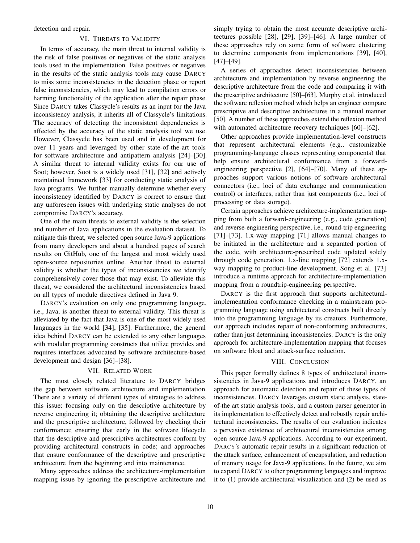detection and repair.

## VI. THREATS TO VALIDITY

In terms of accuracy, the main threat to internal validity is the risk of false positives or negatives of the static analysis tools used in the implementation. False positives or negatives in the results of the static analysis tools may cause DARCY to miss some inconsistencies in the detection phase or report false inconsistencies, which may lead to compilation errors or harming functionality of the application after the repair phase. Since DARCY takes Classycle's results as an input for the Java inconsistency analysis, it inherits all of Classycle's limitations. The accuracy of detecting the inconsistent dependencies is affected by the accuracy of the static analysis tool we use. However, Classycle has been used and in development for over 11 years and leveraged by other state-of-the-art tools for software architecture and antipattern analysis [24]–[30]. A similar threat to internal validity exists for our use of Soot; however, Soot is a widely used [31], [32] and actively maintained framework [33] for conducting static analysis of Java programs. We further manually determine whether every inconsistency identified by DARCY is correct to ensure that any unforeseen issues with underlying static analyses do not compromise DARCY's accuracy.

One of the main threats to external validity is the selection and number of Java applications in the evaluation dataset. To mitigate this threat, we selected open source Java-9 applications from many developers and about a hundred pages of search results on GitHub, one of the largest and most widely used open-source repositories online. Another threat to external validity is whether the types of inconsistencies we identify comprehensively cover those that may exist. To alleviate this threat, we considered the architectural inconsistencies based on all types of module directives defined in Java 9.

DARCY's evaluation on only one programming language, i.e., Java, is another threat to external validity. This threat is alleviated by the fact that Java is one of the most widely used languages in the world [34], [35]. Furthermore, the general idea behind DARCY can be extended to any other languages with modular programming constructs that utilize provides and requires interfaces advocated by software architecture-based development and design [36]–[38].

## VII. RELATED WORK

The most closely related literature to DARCY bridges the gap between software architecture and implementation. There are a variety of different types of strategies to address this issue: focusing only on the descriptive architecture by reverse engineering it; obtaining the descriptive architecture and the prescriptive architecture, followed by checking their conformance; ensuring that early in the software lifecycle that the descriptive and prescriptive architectures conform by providing architectural constructs in code; and approaches that ensure conformance of the descriptive and prescriptive architecture from the beginning and into maintenance.

Many approaches address the architecture-implementation mapping issue by ignoring the prescriptive architecture and

simply trying to obtain the most accurate descriptive architectures possible [28], [29], [39]–[46]. A large number of these approaches rely on some form of software clustering to determine components from implementations [39], [40], [47]–[49].

A series of approaches detect inconsistencies between architecture and implementation by reverse engineering the descriptive architecture from the code and comparing it with the prescriptive architecture [50]–[63]. Murphy et al. introduced the software reflexion method which helps an engineer compare prescriptive and descriptive architectures in a manual manner [50]. A number of these approaches extend the reflexion method with automated architecture recovery techniques [60]–[62].

Other approaches provide implementation-level constructs that represent architectural elements (e.g., customizable programming-language classes representing components) that help ensure architectural conformance from a forwardengineering perspective [2], [64]–[70]. Many of these approaches support various notions of software architectural connectors (i.e., loci of data exchange and communication control) or interfaces, rather than just components (i.e., loci of processing or data storage).

Certain approaches achieve architecture-implementation mapping from both a forward-engineering (e.g., code generation) and reverse-engineering perspective, i.e., round-trip engineering [71]–[73]. 1.x-way mapping [71] allows manual changes to be initiated in the architecture and a separated portion of the code, with architecture-prescribed code updated solely through code generation. 1.x-line mapping [72] extends 1.xway mapping to product-line development. Song et al. [73] introduce a runtime approach for architecture-implementation mapping from a roundtrip-engineering perspective.

DARCY is the first approach that supports architecturalimplementation conformance checking in a mainstream programming language using architectural constructs built directly into the programming language by its creators. Furthermore, our approach includes repair of non-conforming architectures, rather than just determining inconsistencies. DARCY is the only approach for architecture-implementation mapping that focuses on software bloat and attack-surface reduction.

## VIII. CONCLUSION

This paper formally defines 8 types of architectural inconsistencies in Java-9 applications and introduces DARCY, an approach for automatic detection and repair of these types of inconsistencies. DARCY leverages custom static analysis, stateof-the art static analysis tools, and a custom parser generator in its implementation to effectively detect and robustly repair architectural inconsistencies. The results of our evaluation indicates a pervasive existence of architectural inconsistencies among open source Java-9 applications. According to our experiment, DARCY's automatic repair results in a significant reduction of the attack surface, enhancement of encapsulation, and reduction of memory usage for Java-9 applications. In the future, we aim to expand DARCY to other programming languages and improve it to (1) provide architectural visualization and (2) be used as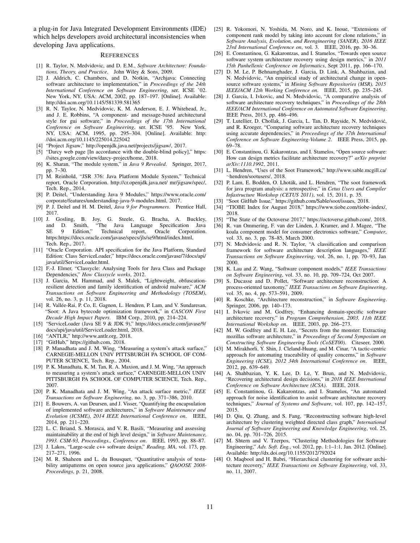a plug-in for Java Integrated Development Environments (IDE) which helps developers avoid architectural inconsistencies when developing Java applications.

#### **REFERENCES**

- [1] R. Taylor, N. Medvidovic, and D. E.M., *Software Architecture: Foundations, Theory, and Practice*. John Wiley & Sons, 2009.
- [2] J. Aldrich, C. Chambers, and D. Notkin, "Archjava: Connecting software architecture to implementation," in *Proceedings of the 24th International Conference on Software Engineering*, ser. ICSE '02. New York, NY, USA: ACM, 2002, pp. 187–197. [Online]. Available: http://doi.acm.org/10.1145/581339.581365
- [3] R. N. Taylor, N. Medvidovic, K. M. Anderson, E. J. Whitehead, Jr., and J. E. Robbins, "A component- and message-based architectural style for gui software," in *Proceedings of the 17th International Conference on Software Engineering*, ser. ICSE '95. New York, NY, USA: ACM, 1995, pp. 295–304. [Online]. Available: http: //doi.acm.org/10.1145/225014.225042
- [4] "Project Jigsaw," http://openjdk.java.net/projects/jigsaw/, 2017.
- [5] "Darcy web page [In accordance with the double-blind policy]," https: //sites.google.com/view/darcy-project/home, 2018.
- [6] K. Sharan, "The module system," in *Java 9 Revealed*. Springer, 2017, pp. 7–30.
- [7] M. Reinhold, "JSR 376: Java Platform Module System," Technical report, Oracle Corporation. http://cr.openjdk.java.net/ mr/jigsaw/spec/, Tech. Rep., 2014.
- [8] P. Deitel, "Understanding Java 9 Modules," https://www.oracle.com/ corporate/features/understanding-java-9-modules.html, 2017.
- [9] P. J. Deitel and H. M. Deitel, *Java 9 for Programmers*. Prentice Hall, 2017.
- [10] J. Gosling, B. Joy, G. Steele, G. Bracha, A. Buckley, and D. Smith, "The Java Language Specification Java SE 9 Edition," Technical report, Oracle Corporation. https:https://docs.oracle.com/javase/specs/jls/se9/html/index.html, Tech. Rep., 2017.
- [11] "Oracle Corporation. API specification for the Java Platform, Standard Edition: Class ServiceLoader," https://docs.oracle.com/javase/7/docs/api/ java/util/ServiceLoader.html.
- [12] F.-J. Elmer, "Classycle: Analysing Tools for Java Class and Package Dependencies," *How Classycle works*, 2012.
- [13] J. Garcia, M. Hammad, and S. Malek, "Lightweight, obfuscationresilient detection and family identification of android malware," *ACM Transactions on Software Engineering and Methodology (TOSEM)*, vol. 26, no. 3, p. 11, 2018.
- [14] R. Vallée-Rai, P. Co, E. Gagnon, L. Hendren, P. Lam, and V. Sundaresan, "Soot: A Java bytecode optimization framework," in *CASCON First Decade High Impact Papers*. IBM Corp., 2010, pp. 214–224.
- [15] "ServiceLoader (Java SE 9 & JDK 9)," https://docs.oracle.com/javase/9/ docs/api/java/util/ServiceLoader.html, 2018.
- [16] "ANTLR," http://www.antlr.org, 2018.
- [17] "GitHub," https://github.com, 2018.
- [18] P. Manadhata and J. M. Wing, "Measuring a system's attack surface," CARNEGIE-MELLON UNIV PITTSBURGH PA SCHOOL OF COM-PUTER SCIENCE, Tech. Rep., 2004.
- [19] P. K. Manadhata, K. M. Tan, R. A. Maxion, and J. M. Wing, "An approach to measuring a system's attack surface," CARNEGIE-MELLON UNIV PITTSBURGH PA SCHOOL OF COMPUTER SCIENCE, Tech. Rep., 2007.
- [20] P. K. Manadhata and J. M. Wing, "An attack surface metric," *IEEE Transactions on Software Engineering*, no. 3, pp. 371–386, 2010.
- [21] E. Bouwers, A. van Deursen, and J. Visser, "Quantifying the encapsulation of implemented software architectures," in *Software Maintenance and Evolution (ICSME), 2014 IEEE International Conference on*. IEEE, 2014, pp. 211–220.
- [22] L. C. Briand, S. Morasca, and V. R. Basili, "Measuring and assessing maintainability at the end of high level design," in *Software Maintenance, 1993. CSM-93, Proceedings., Conference on*. IEEE, 1993, pp. 88–87.
- [23] J. Lakos, "Large-scale c++ software design," *Reading, MA*, vol. 173, pp. 217–271, 1996.
- [24] M. R. Shaheen and L. du Bousquet, "Quantitative analysis of testability antipatterns on open source java applications," *QAOOSE 2008- Proceedings*, p. 21, 2008.
- [25] R. Yokomori, N. Yoshida, M. Noro, and K. Inoue, "Extensions of component rank model by taking into account for clone relations," in *Software Analysis, Evolution, and Reengineering (SANER), 2016 IEEE 23rd International Conference on*, vol. 3. IEEE, 2016, pp. 30–36.
- [26] E. Constantinou, G. Kakarontzas, and I. Stamelos, "Towards open source software system architecture recovery using design metrics," in *2011 15th Panhellenic Conference on Informatics*, Sept 2011, pp. 166–170.
- [27] D. M. Le, P. Behnamghader, J. Garcia, D. Link, A. Shahbazian, and N. Medvidovic, "An empirical study of architectural change in opensource software systems," in *Mining Software Repositories (MSR), 2015 IEEE/ACM 12th Working Conference on*. IEEE, 2015, pp. 235–245.
- [28] J. Garcia, I. Ivkovic, and N. Medvidovic, "A comparative analysis of software architecture recovery techniques," in *Proceedings of the 28th IEEE/ACM International Conference on Automated Software Engineering*. IEEE Press, 2013, pp. 486–496.
- [29] T. Lutellier, D. Chollak, J. Garcia, L. Tan, D. Rayside, N. Medvidović, and R. Kroeger, "Comparing software architecture recovery techniques using accurate dependencies," in *Proceedings of the 37th International Conference on Software Engineering-Volume 2*. IEEE Press, 2015, pp. 69–78.
- [30] E. Constantinou, G. Kakarontzas, and I. Stamelos, "Open source software: How can design metrics facilitate architecture recovery?" *arXiv preprint arXiv:1110.1992*, 2011.
- [31] L. Hendren, "Uses of the Soot Framework," http://www.sable.mcgill.ca/ ∼hendren/sootusers/, 2018.
- [32] P. Lam, E. Bodden, O. Lhoták, and L. Hendren, "The soot framework for java program analysis: a retrospective," in *Cetus Users and Compiler Infastructure Workshop (CETUS 2011)*, vol. 15, 2011, p. 35.
- [33] "Soot GitHub Issue," https://github.com/Sable/soot/issues, 2018.
- [34] "TIOBE Index for August 2018," https://www.tiobe.com/tiobe-index/, 2018.
- [35] "The State of the Octoverse 2017," https://octoverse.github.com/, 2018.
- [36] R. van Ommering, F. van der Linden, J. Kramer, and J. Magee, "The koala component model for consumer electronics software," *Computer*, vol. 33, no. 3, pp. 78–85, March 2000.
- [37] N. Medvidovic and R. N. Taylor, "A classification and comparison framework for software architecture description languages," *IEEE Transactions on Software Engineering*, vol. 26, no. 1, pp. 70–93, Jan 2000.
- [38] K. Lau and Z. Wang, "Software component models," *IEEE Transactions on Software Engineering*, vol. 33, no. 10, pp. 709–724, Oct 2007.
- [39] S. Ducasse and D. Pollet, "Software architecture reconstruction: A process-oriented taxonomy," *IEEE Transactions on Software Engineering*, vol. 35, no. 4, pp. 573–591, 2009.
- [40] R. Koschke, "Architecture reconstruction," in *Software Engineering*. Springer, 2006, pp. 140–173.
- [41] I. Ivkovic and M. Godfrey, "Enhancing domain-specific software architecture recovery," in *Program Comprehension, 2003. 11th IEEE International Workshop on*. IEEE, 2003, pp. 266–273.
- [42] M. W. Godfrey and E. H. Lee, "Secrets from the monster: Extracting mozillas software architecture," in *Proceedings of Second Symposium on Constructing Software Engineering Tools (CoSET00)*. Citeseer, 2000.
- [43] M. Mirakhorli, Y. Shin, J. Cleland-Huang, and M. Cinar, "A tactic-centric approach for automating traceability of quality concerns," in *Software Engineering (ICSE), 2012 34th International Conference on*. IEEE, 2012, pp. 639–649.
- [44] A. Shahbazian, Y. K. Lee, D. Le, Y. Brun, and N. Medvidovic, "Recovering architectural design decisions," in *2018 IEEE International Conference on Software Architecture (ICSA)*. IEEE, 2018.
- [45] E. Constantinou, G. Kakarontzas, and I. Stamelos, "An automated approach for noise identification to assist software architecture recovery techniques," *Journal of Systems and Software*, vol. 107, pp. 142–157, 2015.
- [46] D. Qiu, Q. Zhang, and S. Fang, "Reconstructing software high-level architecture by clustering weighted directed class graph," *International Journal of Software Engineering and Knowledge Engineering*, vol. 25, no. 04, pp. 701–726, 2015.
- [47] M. Shtern and V. Tzerpos, "Clustering Methodologies for Software Engineering," *Adv. Soft. Eng.*, vol. 2012, pp. 1:1–1:1, Jan. 2012. [Online]. Available: http://dx.doi.org/10.1155/2012/792024
- [48] O. Maqbool and H. Babri, "Hierarchical clustering for software architecture recovery," *IEEE Transactions on Software Engineering*, vol. 33, no. 11, 2007.